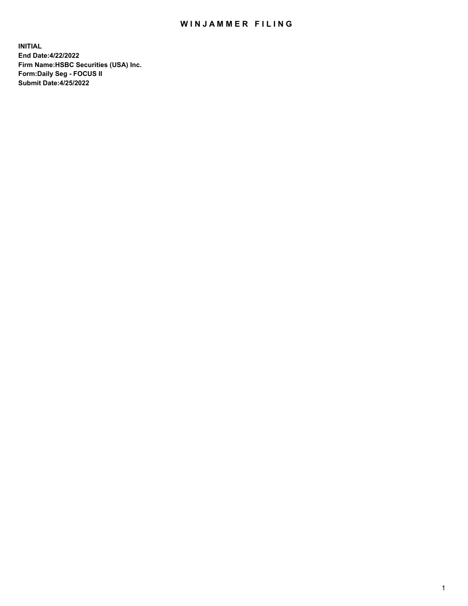## WIN JAMMER FILING

**INITIAL End Date:4/22/2022 Firm Name:HSBC Securities (USA) Inc. Form:Daily Seg - FOCUS II Submit Date:4/25/2022**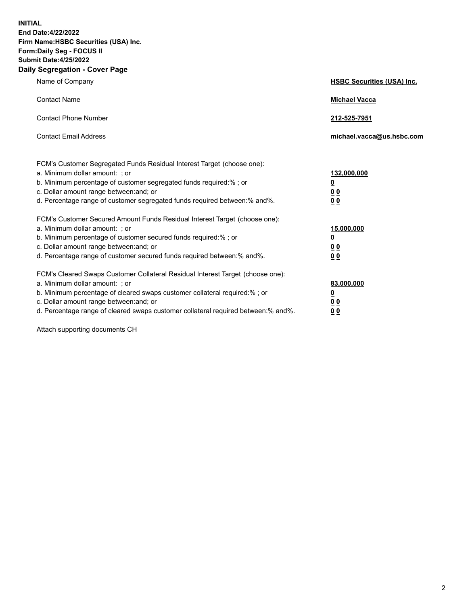**INITIAL End Date:4/22/2022 Firm Name:HSBC Securities (USA) Inc. Form:Daily Seg - FOCUS II Submit Date:4/25/2022 Daily Segregation - Cover Page**

| Name of Company                                                                                                                                                                                                                                                                                                                | <b>HSBC Securities (USA) Inc.</b>                          |
|--------------------------------------------------------------------------------------------------------------------------------------------------------------------------------------------------------------------------------------------------------------------------------------------------------------------------------|------------------------------------------------------------|
| <b>Contact Name</b>                                                                                                                                                                                                                                                                                                            | <b>Michael Vacca</b>                                       |
| <b>Contact Phone Number</b>                                                                                                                                                                                                                                                                                                    | 212-525-7951                                               |
| <b>Contact Email Address</b>                                                                                                                                                                                                                                                                                                   | michael.vacca@us.hsbc.com                                  |
| FCM's Customer Segregated Funds Residual Interest Target (choose one):<br>a. Minimum dollar amount: ; or<br>b. Minimum percentage of customer segregated funds required:% ; or<br>c. Dollar amount range between: and; or<br>d. Percentage range of customer segregated funds required between:% and%.                         | 132,000,000<br><u>0</u><br>0 <sub>0</sub><br>00            |
| FCM's Customer Secured Amount Funds Residual Interest Target (choose one):<br>a. Minimum dollar amount: ; or<br>b. Minimum percentage of customer secured funds required:%; or<br>c. Dollar amount range between: and; or<br>d. Percentage range of customer secured funds required between:% and%.                            | 15,000,000<br><u>0</u><br>0 <sub>0</sub><br>0 <sub>0</sub> |
| FCM's Cleared Swaps Customer Collateral Residual Interest Target (choose one):<br>a. Minimum dollar amount: ; or<br>b. Minimum percentage of cleared swaps customer collateral required:% ; or<br>c. Dollar amount range between: and; or<br>d. Percentage range of cleared swaps customer collateral required between:% and%. | 83,000,000<br><u>0</u><br><u>00</u><br>00                  |

Attach supporting documents CH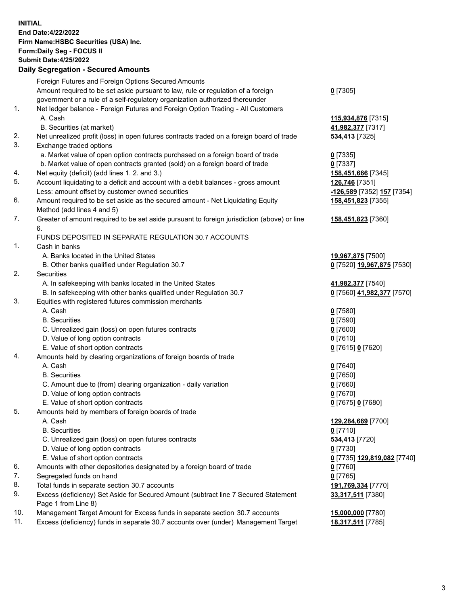**INITIAL End Date:4/22/2022 Firm Name:HSBC Securities (USA) Inc. Form:Daily Seg - FOCUS II Submit Date:4/25/2022 Daily Segregation - Secured Amounts** Foreign Futures and Foreign Options Secured Amounts Amount required to be set aside pursuant to law, rule or regulation of a foreign government or a rule of a self-regulatory organization authorized thereunder 1. Net ledger balance - Foreign Futures and Foreign Option Trading - All Customers A. Cash **115,934,876** [7315] B. Securities (at market) **41,982,377** [7317] 2. Net unrealized profit (loss) in open futures contracts traded on a foreign board of trade **534,413** [7325] 3. Exchange traded options a. Market value of open option contracts purchased on a foreign board of trade **0** [7335] b. Market value of open contracts granted (sold) on a foreign board of trade **0** [7337] 4. Net equity (deficit) (add lines 1. 2. and 3.) **158,451,666** [7345] 5. Account liquidating to a deficit and account with a debit balances - gross amount **126,746** [7351] Less: amount offset by customer owned securities **-126,589** [7352] **157** [7354] 6. Amount required to be set aside as the secured amount - Net Liquidating Equity Method (add lines 4 and 5) 7. Greater of amount required to be set aside pursuant to foreign jurisdiction (above) or line 6. FUNDS DEPOSITED IN SEPARATE REGULATION 30.7 ACCOUNTS 1. Cash in banks A. Banks located in the United States **19,967,875** [7500] B. Other banks qualified under Regulation 30.7 **0** [7520] **19,967,875** [7530] 2. Securities A. In safekeeping with banks located in the United States **41,982,377** [7540] B. In safekeeping with other banks qualified under Regulation 30.7 **0** [7560] **41,982,377** [7570] 3. Equities with registered futures commission merchants A. Cash **0** [7580] B. Securities **0** [7590] C. Unrealized gain (loss) on open futures contracts **0** [7600] D. Value of long option contracts **0** [7610] E. Value of short option contracts **0** [7615] **0** [7620] 4. Amounts held by clearing organizations of foreign boards of trade A. Cash **0** [7640] B. Securities **0** [7650] C. Amount due to (from) clearing organization - daily variation **0** [7660] D. Value of long option contracts **0** [7670] E. Value of short option contracts **0** [7675] **0** [7680] 5. Amounts held by members of foreign boards of trade A. Cash **129,284,669** [7700] B. Securities **0** [7710] C. Unrealized gain (loss) on open futures contracts **534,413** [7720] D. Value of long option contracts **0** [7730]

- 
- 6. Amounts with other depositories designated by a foreign board of trade **0** [7760]
- 7. Segregated funds on hand **0** [7765]
- 8. Total funds in separate section 30.7 accounts **191,769,334** [7770]
- 9. Excess (deficiency) Set Aside for Secured Amount (subtract line 7 Secured Statement Page 1 from Line 8)
- 10. Management Target Amount for Excess funds in separate section 30.7 accounts **15,000,000** [7780]
- 11. Excess (deficiency) funds in separate 30.7 accounts over (under) Management Target **18,317,511** [7785]

**0** [7305]

**158,451,823** [7355]

**158,451,823** [7360]

 E. Value of short option contracts **0** [7735] **129,819,082** [7740] **33,317,511** [7380]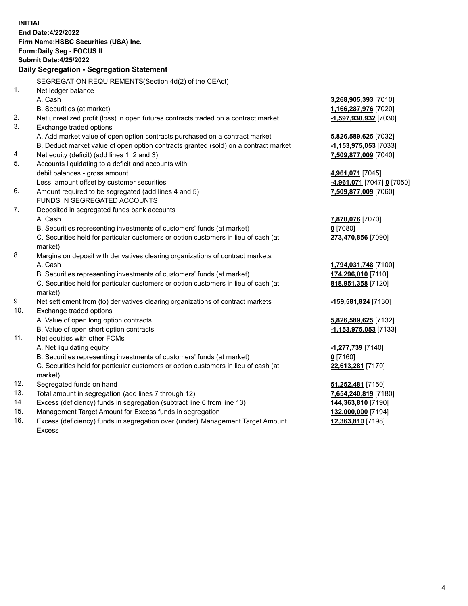|     | <b>INITIAL</b>                                                                                                                                                     |                                                 |
|-----|--------------------------------------------------------------------------------------------------------------------------------------------------------------------|-------------------------------------------------|
|     | End Date: 4/22/2022                                                                                                                                                |                                                 |
|     | Firm Name: HSBC Securities (USA) Inc.                                                                                                                              |                                                 |
|     | Form: Daily Seg - FOCUS II                                                                                                                                         |                                                 |
|     | <b>Submit Date: 4/25/2022</b>                                                                                                                                      |                                                 |
|     | Daily Segregation - Segregation Statement                                                                                                                          |                                                 |
|     |                                                                                                                                                                    |                                                 |
| 1.  | SEGREGATION REQUIREMENTS(Section 4d(2) of the CEAct)                                                                                                               |                                                 |
|     | Net ledger balance<br>A. Cash                                                                                                                                      |                                                 |
|     |                                                                                                                                                                    | 3,268,905,393 [7010]                            |
| 2.  | B. Securities (at market)                                                                                                                                          | 1,166,287,976 [7020]<br>$-1,597,930,932$ [7030] |
| 3.  | Net unrealized profit (loss) in open futures contracts traded on a contract market                                                                                 |                                                 |
|     | Exchange traded options                                                                                                                                            |                                                 |
|     | A. Add market value of open option contracts purchased on a contract market<br>B. Deduct market value of open option contracts granted (sold) on a contract market | 5,826,589,625 [7032]                            |
| 4.  | Net equity (deficit) (add lines 1, 2 and 3)                                                                                                                        | -1,153,975,053 [7033]<br>7,509,877,009 [7040]   |
| 5.  | Accounts liquidating to a deficit and accounts with                                                                                                                |                                                 |
|     | debit balances - gross amount                                                                                                                                      | 4,961,071 [7045]                                |
|     | Less: amount offset by customer securities                                                                                                                         | <u>-4,961,071</u> [7047] <u>0</u> [7050]        |
| 6.  | Amount required to be segregated (add lines 4 and 5)                                                                                                               | 7,509,877,009 [7060]                            |
|     | FUNDS IN SEGREGATED ACCOUNTS                                                                                                                                       |                                                 |
| 7.  | Deposited in segregated funds bank accounts                                                                                                                        |                                                 |
|     | A. Cash                                                                                                                                                            | 7,870,076 [7070]                                |
|     | B. Securities representing investments of customers' funds (at market)                                                                                             | $0$ [7080]                                      |
|     | C. Securities held for particular customers or option customers in lieu of cash (at                                                                                | 273,470,856 [7090]                              |
|     | market)                                                                                                                                                            |                                                 |
| 8.  | Margins on deposit with derivatives clearing organizations of contract markets                                                                                     |                                                 |
|     | A. Cash                                                                                                                                                            | 1,794,031,748 [7100]                            |
|     | B. Securities representing investments of customers' funds (at market)                                                                                             | 174,296,010 [7110]                              |
|     | C. Securities held for particular customers or option customers in lieu of cash (at                                                                                | 818,951,358 [7120]                              |
|     | market)                                                                                                                                                            |                                                 |
| 9.  | Net settlement from (to) derivatives clearing organizations of contract markets                                                                                    | <u>-159,581,824</u> [7130]                      |
| 10. | Exchange traded options                                                                                                                                            |                                                 |
|     | A. Value of open long option contracts                                                                                                                             | 5,826,589,625 [7132]                            |
|     | B. Value of open short option contracts                                                                                                                            | -1,153,975,053 [7133]                           |
| 11. | Net equities with other FCMs                                                                                                                                       |                                                 |
|     | A. Net liquidating equity                                                                                                                                          | -1,277,739 [7140]                               |
|     | B. Securities representing investments of customers' funds (at market)                                                                                             | $0$ [7160]                                      |
|     | C. Securities held for particular customers or option customers in lieu of cash (at                                                                                | 22,613,281 [7170]                               |
|     | market)                                                                                                                                                            |                                                 |
| 12. | Segregated funds on hand                                                                                                                                           | 51,252,481 [7150]                               |
| 13. | Total amount in segregation (add lines 7 through 12)                                                                                                               | 7,654,240,819 [7180]                            |
| 14. | Excess (deficiency) funds in segregation (subtract line 6 from line 13)                                                                                            | 144,363,810 [7190]                              |
| 15. | Management Target Amount for Excess funds in segregation                                                                                                           | 132,000,000 [7194]                              |
| 16. | Excess (deficiency) funds in segregation over (under) Management Target Amount                                                                                     | 12,363,810 [7198]                               |

Excess